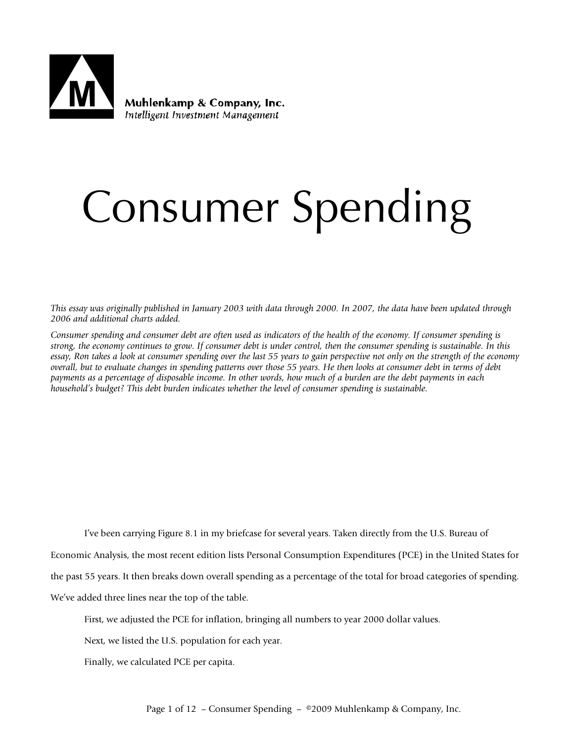

# Consumer Spending

*This essay was originally published in January 2003 with data through 2000. In 2007, the data have been updated through 2006 and additional charts added.* 

*Consumer spending and consumer debt are often used as indicators of the health of the economy. If consumer spending is strong, the economy continues to grow. If consumer debt is under control, then the consumer spending is sustainable. In this essay, Ron takes a look at consumer spending over the last 55 years to gain perspective not only on the strength of the economy overall, but to evaluate changes in spending patterns over those 55 years. He then looks at consumer debt in terms of debt payments as a percentage of disposable income. In other words, how much of a burden are the debt payments in each household's budget? This debt burden indicates whether the level of consumer spending is sustainable.* 

I've been carrying Figure 8.1 in my briefcase for several years. Taken directly from the U.S. Bureau of Economic Analysis, the most recent edition lists Personal Consumption Expenditures (PCE) in the United States for the past 55 years. It then breaks down overall spending as a percentage of the total for broad categories of spending. We've added three lines near the top of the table.

First, we adjusted the PCE for inflation, bringing all numbers to year 2000 dollar values.

Next, we listed the U.S. population for each year.

Finally, we calculated PCE per capita.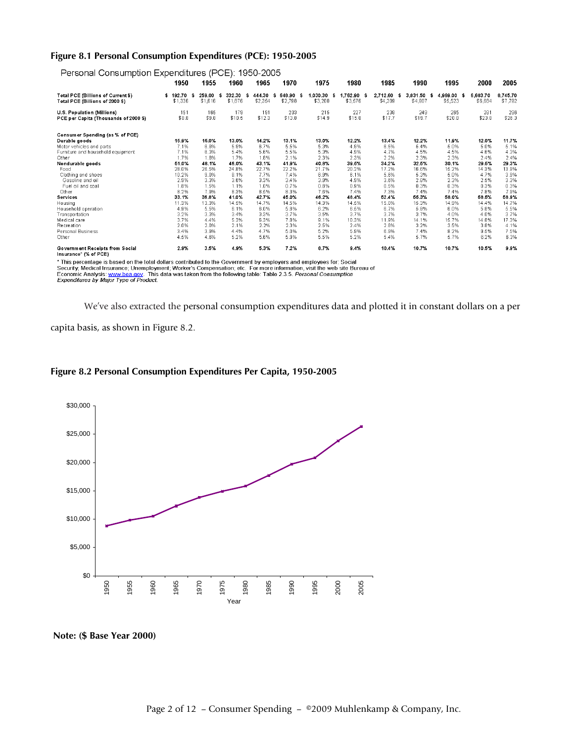#### **Figure 8.1 Personal Consumption Expenditures (PCE): 1950-2005**

| Personal Consumption Expenditures (PCE): 1950-2005                    |                          |                   |                         |                         |                                 |                     |                             |                           |                           |                          |                     |                     |
|-----------------------------------------------------------------------|--------------------------|-------------------|-------------------------|-------------------------|---------------------------------|---------------------|-----------------------------|---------------------------|---------------------------|--------------------------|---------------------|---------------------|
|                                                                       | 1950                     | 1955              | 1960                    | 1965                    | 1970                            | 1975                | 1980                        | 1985                      | 1990                      | 1995                     | 2000                | 2005                |
| Total PCE (Billions of Current \$)<br>Total PCE (Billions of 2000 \$) | \$192.70<br>ŝ<br>\$1.336 | 259.00<br>\$1,616 | 332.30<br>\$<br>\$1,876 | 444.30<br>\$<br>\$2,354 | 648.90<br>- \$<br>-S<br>\$2,798 | 1.030.30<br>\$3,200 | .762.90 \$<br>-S<br>\$3,576 | 2.712.60<br>\$<br>\$4,209 | 3.831.50<br>s.<br>\$4,907 | 4.969.00<br>ŝ<br>\$5.523 | 6.683.70<br>\$6,684 | 8,745.70<br>\$7,792 |
| U.S. Population (Millions)<br>PCE per Capita (Thousands of 2000 \$)   | 151<br>\$8.8             | 165<br>\$9.8      | 179<br>\$10.5           | 191<br>\$12.3           | 203<br>\$13.8                   | 215<br>\$14.9       | 227<br>\$15.8               | 238<br>\$17.7             | 249<br>\$19.7             | 265<br>\$20.8            | 281<br>\$23.8       | 296<br>\$26.3       |
| Consumer Spending (as % of PCE)                                       |                          |                   |                         |                         |                                 |                     |                             |                           |                           |                          |                     |                     |
| Durable goods                                                         | 15.9%                    | 15.0%             | 13.0%                   | 14.2%                   | 13.1%                           | 13.0%               | 12.2%                       | 13.4%                     | 12.2%                     | 11.9%                    | 12.0%               | 11.7%               |
| Motor vehicles and parts                                              | 7.1%                     | 6.8%              | 5.9%                    | 6.7%                    | 5.5%                            | 5.3%                | 4.9%                        | 6.5%                      | 5.4%                      | 5.0%                     | 5.0%                | 5.1%                |
| Furniture and household equipment                                     | 7.1%                     | 6.3%              | 5.4%                    | 5.6%                    | 5.5%                            | 5.3%                | 4.9%                        | 4.7%                      | 4.5%                      | 4.5%                     | 4.6%                | 4.3%                |
| Other                                                                 | 1.7%                     | 1.8%              | 1.7%                    | 1.8%                    | 2.1%                            | 2.3%                | 2.3%                        | 2.2%                      | 2.3%                      | 2.3%                     | 2.4%                | 2.4%                |
| Nondurable goods                                                      | 51.0%                    | 48.1%             | 46.0%                   | 43.1%                   | 41.9%                           | 40.8%               | 39.5%                       | 34.2%                     | 32.5%                     | 30.1%                    | 29.5%               | 29.3%               |
| Ennd                                                                  | 28.0%                    | 26.5%             | 24.8%                   | 22.7%<br>7.7%           | 22.2%                           | 21.7%               | 20.2%                       | 17.2%                     | 16.6%                     | 15.2%                    | 14.3%               | 13.9%<br>3.9%       |
| Clothing and shoes<br>Gasoline and oil                                | 10.2%<br>2.9%            | 9.0%<br>3.3%      | 8.1%<br>3.6%            | 3.3%                    | 7.4%<br>3.4%                    | 6.9%<br>3.9%        | 6.1%<br>4.9%                | 5.6%<br>3.6%              | 5.3%<br>2.8%              | 5.0%<br>2.3%             | 4.7%<br>2.5%        | 3.3%                |
| Fuel oil and coal                                                     | 1.8%                     | 1.5%              | 1.1%                    | 1.0%                    | 0.7%                            | 0.8%                | 0.9%                        | 0.5%                      | 0.3%                      | 0.3%                     | 0.3%                | 0.3%                |
| Other                                                                 | 8.2%                     | 7.9%              | 8.3%                    | 8.5%                    | 8.3%                            | 7.6%                | 7.4%                        | 7.3%                      | 7.4%                      | 7.4%                     | 7.8%                | 7.9%                |
| Services                                                              | 33.1%                    | 36.8%             | 41.0%                   | 42.7%                   | 45.0%                           | 46.2%               | 48.4%                       | 52.4%                     | 55.3%                     | 58.0%                    | 58.5%               | 58.9%               |
| Housing                                                               | 11.3%                    | 13.3%             | 14.5%                   | 14.7%                   | 14.5%                           | 14.3%               | 14.5%                       | 15.0%                     | 15.3%                     | 14.9%                    | 14.4%               | 14.7%               |
| Household operation                                                   | 4.9%                     | 5.5%              | 6.1%                    | 6.0%                    | 5.8%                            | 6.2%                | 6.5%                        | 6.7%                      | 5.9%                      | 6.0%                     | 5.8%                | 5.5%                |
| Transportation                                                        | 3.2%                     | 3.3%              | 3.4%                    | 3.3%                    | 3.7%                            | 3.5%                | 3.7%                        | 3.7%                      | 3.7%                      | 4.0%                     | 4.0%                | 3.7%                |
| Medical care                                                          | 3.7%                     | 4.4%              | 5.3%                    | 6.3%                    | 7.8%                            | 9.1%                | 10.3%                       | 11.9%                     | 14.1%                     | 15.7%                    | 14.8%               | 17.3%               |
| Recreation                                                            | 2.0%                     | 2.0%              | 2.1%                    | 2.2%                    | 2.3%                            | 2.5%                | 2.4%                        | 2.8%                      | 3.2%                      | 3.5%                     | 3.8%                | 4.1%                |
| Personal Business                                                     | 3.4%                     | 3.9%              | 4.4%                    | 4.7%                    | 5.0%                            | 5.2%                | 5.9%                        | 6.9%                      | 7.4%                      | 8.2%                     | 9.5%                | 7.5%                |
| Other                                                                 | 4.5%                     | 4.6%              | 5.2%                    | 5.6%                    | 5.9%                            | 5.5%                | 5.2%                        | 5.4%                      | 5.7%                      | 5.7%                     | 6.2%                | 6.3%                |
| Government Receipts from Social<br>Insurance <sup>®</sup> (% of PCE)  | 2.9%                     | 3.5%              | 4.9%                    | 5.3%                    | 7.2%                            | 8.7%                | 9.4%                        | 10.4%                     | 10.7%                     | 10.7%                    | 10.5%               | 9.9%                |

Insurance" (% of PCE)<br>\* This percentage is based on the total dollars contributed to the Government by employers and employees for: Social<br>Security, Medical Insurance; Unemployment; Worker's Compensation; etc. For more inf

We've also extracted the personal consumption expenditures data and plotted it in constant dollars on a per

capita basis, as shown in Figure 8.2.



#### **Figure 8.2 Personal Consumption Expenditures Per Capita, 1950-2005**

 **Note: (\$ Base Year 2000)**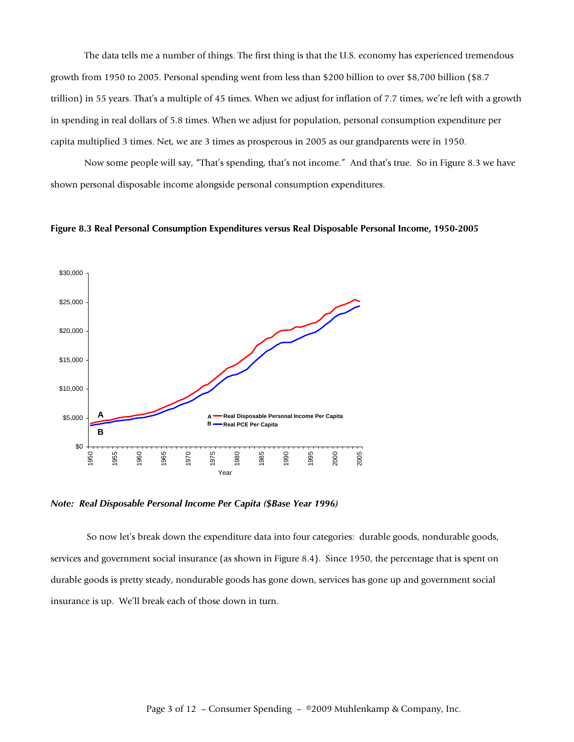The data tells me a number of things. The first thing is that the U.S. economy has experienced tremendous growth from 1950 to 2005. Personal spending went from less than \$200 billion to over \$8,700 billion (\$8.7 trillion) in 55 years. That's a multiple of 45 times. When we adjust for inflation of 7.7 times, we're left with a growth in spending in real dollars of 5.8 times. When we adjust for population, personal consumption expenditure per capita multiplied 3 times. Net, we are 3 times as prosperous in 2005 as our grandparents were in 1950.

Now some people will say, "That's spending, that's not income." And that's true. So in Figure 8.3 we have shown personal disposable income alongside personal consumption expenditures.

**Figure 8.3 Real Personal Consumption Expenditures versus Real Disposable Personal Income, 1950-2005** 



*Note: Real Disposable Personal Income Per Capita (\$Base Year 1996)* 

 So now let's break down the expenditure data into four categories: durable goods, nondurable goods, services and government social insurance (as shown in Figure 8.4). Since 1950, the percentage that is spent on durable goods is pretty steady, nondurable goods has gone down, services has gone up and government social insurance is up. We'll break each of those down in turn.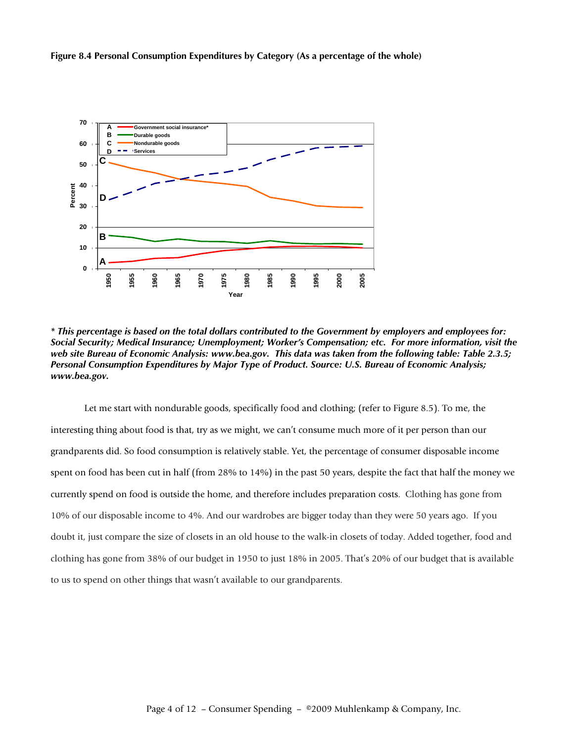#### **Figure 8.4 Personal Consumption Expenditures by Category (As a percentage of the whole)**



*\* This percentage is based on the total dollars contributed to the Government by employers and employees for: Social Security; Medical Insurance; Unemployment; Worker's Compensation; etc. For more information, visit the web site Bureau of Economic Analysis: www.bea.gov. This data was taken from the following table: Table 2.3.5; Personal Consumption Expenditures by Major Type of Product. Source: U.S. Bureau of Economic Analysis; www.bea.gov.* 

Let me start with nondurable goods, specifically food and clothing; (refer to Figure 8.5). To me, the interesting thing about food is that, try as we might, we can't consume much more of it per person than our grandparents did. So food consumption is relatively stable. Yet, the percentage of consumer disposable income spent on food has been cut in half (from 28% to 14%) in the past 50 years, despite the fact that half the money we currently spend on food is outside the home, and therefore includes preparation costs. Clothing has gone from 10% of our disposable income to 4%. And our wardrobes are bigger today than they were 50 years ago. If you doubt it, just compare the size of closets in an old house to the walk-in closets of today. Added together, food and clothing has gone from 38% of our budget in 1950 to just 18% in 2005. That's 20% of our budget that is available to us to spend on other things that wasn't available to our grandparents.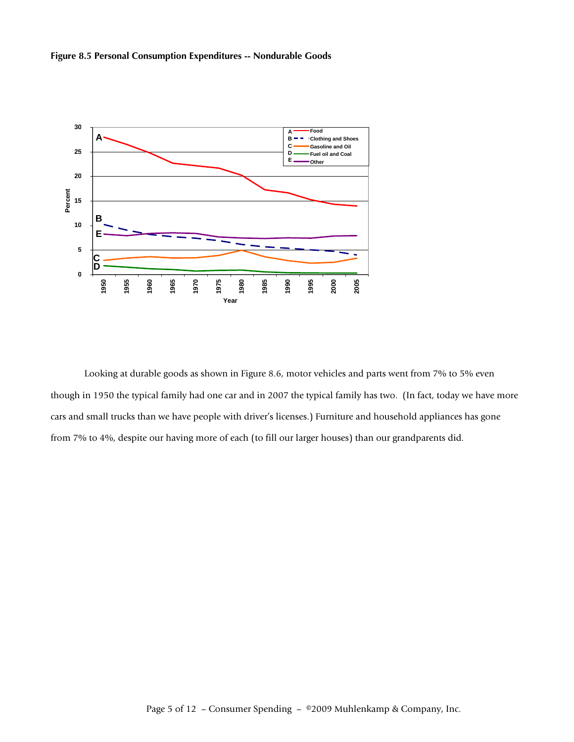



Looking at durable goods as shown in Figure 8.6, motor vehicles and parts went from 7% to 5% even though in 1950 the typical family had one car and in 2007 the typical family has two. (In fact, today we have more cars and small trucks than we have people with driver's licenses.) Furniture and household appliances has gone from 7% to 4%, despite our having more of each (to fill our larger houses) than our grandparents did.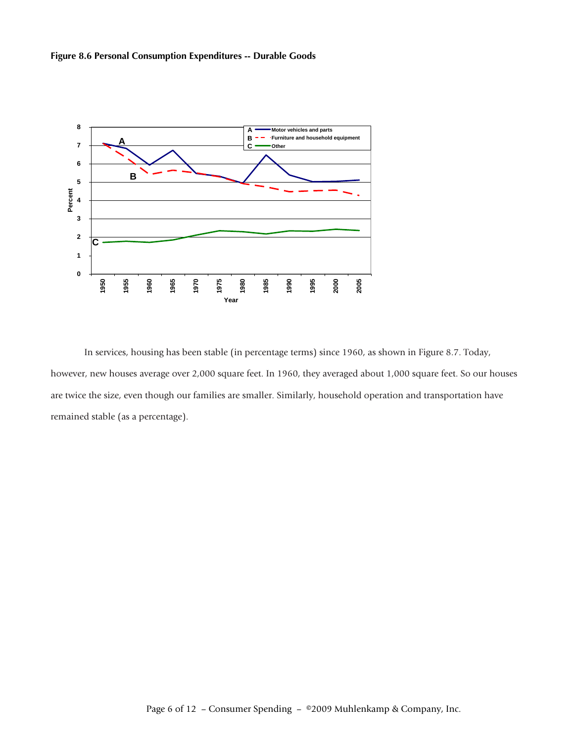



In services, housing has been stable (in percentage terms) since 1960, as shown in Figure 8.7. Today, however, new houses average over 2,000 square feet. In 1960, they averaged about 1,000 square feet. So our houses are twice the size, even though our families are smaller. Similarly, household operation and transportation have remained stable (as a percentage).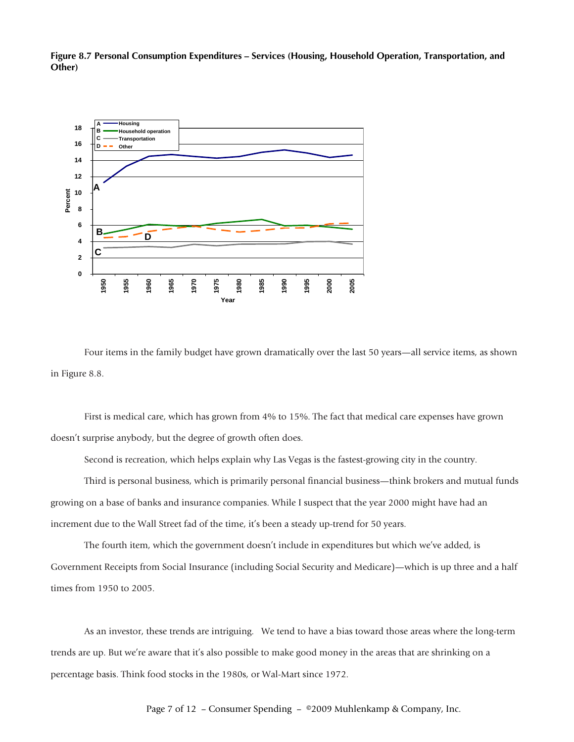

**Figure 8.7 Personal Consumption Expenditures – Services (Housing, Household Operation, Transportation, and Other)** 

Four items in the family budget have grown dramatically over the last 50 years—all service items, as shown in Figure 8.8.

First is medical care, which has grown from 4% to 15%. The fact that medical care expenses have grown doesn't surprise anybody, but the degree of growth often does.

Second is recreation, which helps explain why Las Vegas is the fastest-growing city in the country.

Third is personal business, which is primarily personal financial business—think brokers and mutual funds growing on a base of banks and insurance companies. While I suspect that the year 2000 might have had an increment due to the Wall Street fad of the time, it's been a steady up-trend for 50 years.

The fourth item, which the government doesn't include in expenditures but which we've added, is Government Receipts from Social Insurance (including Social Security and Medicare)—which is up three and a half times from 1950 to 2005.

As an investor, these trends are intriguing. We tend to have a bias toward those areas where the long-term trends are up. But we're aware that it's also possible to make good money in the areas that are shrinking on a percentage basis. Think food stocks in the 1980s, or Wal-Mart since 1972.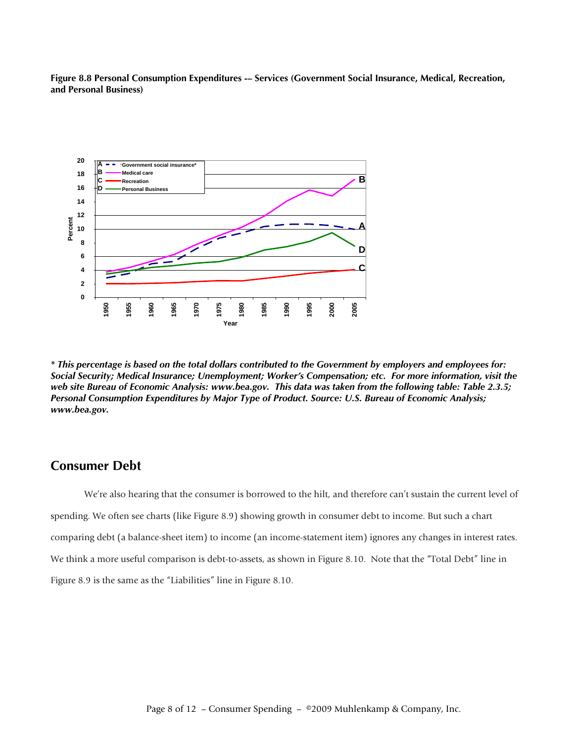**Figure 8.8 Personal Consumption Expenditures -– Services (Government Social Insurance, Medical, Recreation, and Personal Business)** 



*\* This percentage is based on the total dollars contributed to the Government by employers and employees for: Social Security; Medical Insurance; Unemployment; Worker's Compensation; etc. For more information, visit the web site Bureau of Economic Analysis: www.bea.gov. This data was taken from the following table: Table 2.3.5; Personal Consumption Expenditures by Major Type of Product. Source: U.S. Bureau of Economic Analysis; www.bea.gov.* 

## **Consumer Debt**

We're also hearing that the consumer is borrowed to the hilt, and therefore can't sustain the current level of spending. We often see charts (like Figure 8.9) showing growth in consumer debt to income. But such a chart comparing debt (a balance-sheet item) to income (an income-statement item) ignores any changes in interest rates. We think a more useful comparison is debt-to-assets, as shown in Figure 8.10. Note that the "Total Debt" line in Figure 8.9 is the same as the "Liabilities" line in Figure 8.10.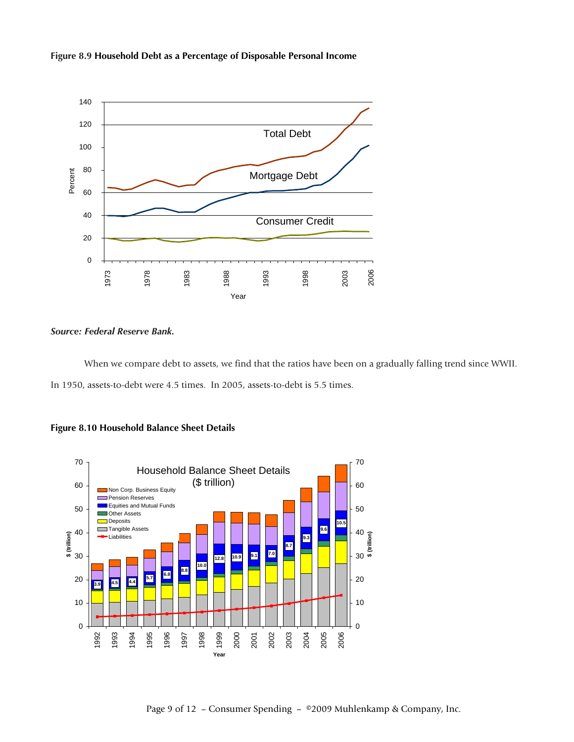



#### *Source: Federal Reserve Bank.*

When we compare debt to assets, we find that the ratios have been on a gradually falling trend since WWII. In 1950, assets-to-debt were 4.5 times. In 2005, assets-to-debt is 5.5 times.



#### **Figure 8.10 Household Balance Sheet Details**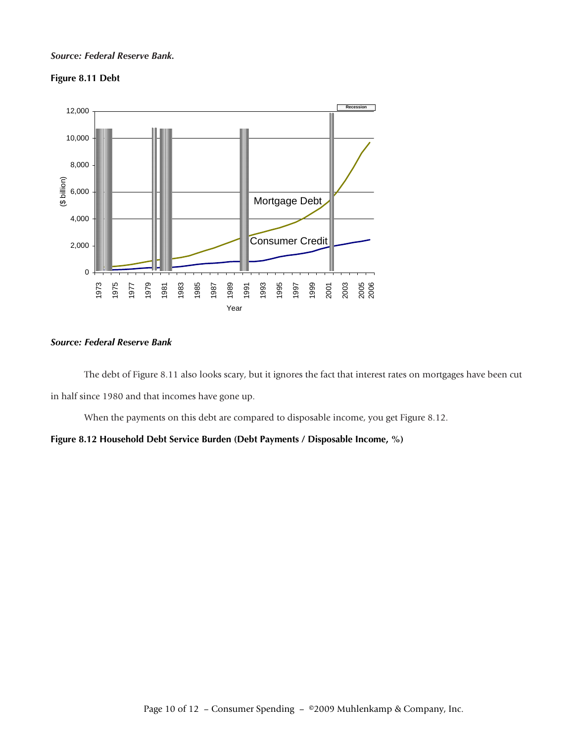#### *Source: Federal Reserve Bank.*





### *Source: Federal Reserve Bank*

The debt of Figure 8.11 also looks scary, but it ignores the fact that interest rates on mortgages have been cut in half since 1980 and that incomes have gone up.

When the payments on this debt are compared to disposable income, you get Figure 8.12.

#### **Figure 8.12 Household Debt Service Burden (Debt Payments / Disposable Income, %)**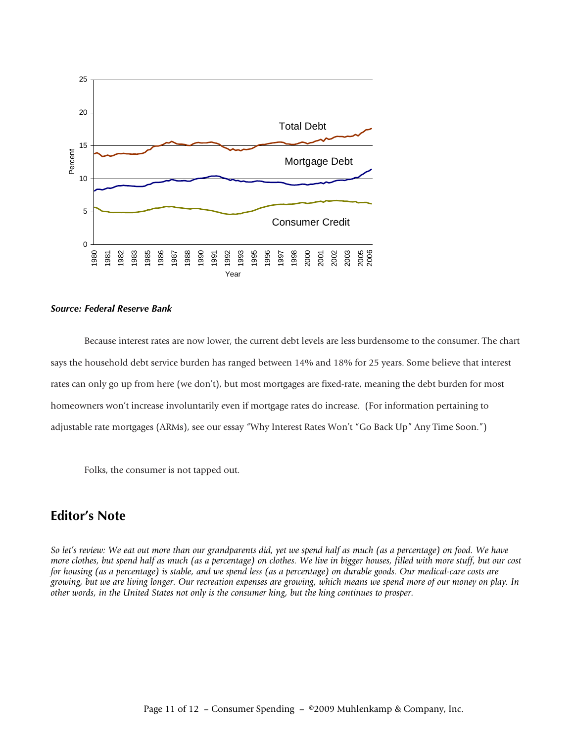

#### *Source: Federal Reserve Bank*

Because interest rates are now lower, the current debt levels are less burdensome to the consumer. The chart says the household debt service burden has ranged between 14% and 18% for 25 years. Some believe that interest rates can only go up from here (we don't), but most mortgages are fixed-rate, meaning the debt burden for most homeowners won't increase involuntarily even if mortgage rates do increase. (For information pertaining to adjustable rate mortgages (ARMs), see our essay "Why Interest Rates Won't "Go Back Up" Any Time Soon.")

Folks, the consumer is not tapped out.

## **Editor's Note**

*So let's review: We eat out more than our grandparents did, yet we spend half as much (as a percentage) on food. We have more clothes, but spend half as much (as a percentage) on clothes. We live in bigger houses, filled with more stuff, but our cost for housing (as a percentage) is stable, and we spend less (as a percentage) on durable goods. Our medical-care costs are growing, but we are living longer. Our recreation expenses are growing, which means we spend more of our money on play. In other words, in the United States not only is the consumer king, but the king continues to prosper.*